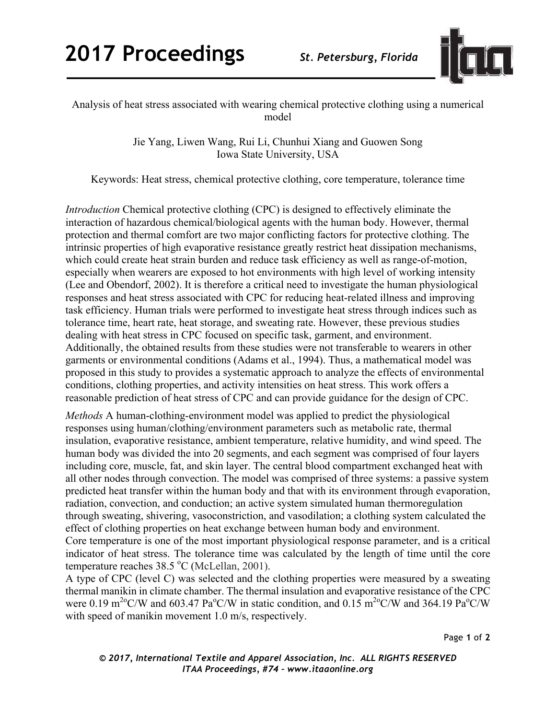

Analysis of heat stress associated with wearing chemical protective clothing using a numerical model

> Jie Yang, Liwen Wang, Rui Li, Chunhui Xiang and Guowen Song Iowa State University, USA

Keywords: Heat stress, chemical protective clothing, core temperature, tolerance time

*Introduction* Chemical protective clothing (CPC) is designed to effectively eliminate the interaction of hazardous chemical/biological agents with the human body. However, thermal protection and thermal comfort are two major conflicting factors for protective clothing. The intrinsic properties of high evaporative resistance greatly restrict heat dissipation mechanisms, which could create heat strain burden and reduce task efficiency as well as range-of-motion, especially when wearers are exposed to hot environments with high level of working intensity (Lee and Obendorf, 2002). It is therefore a critical need to investigate the human physiological responses and heat stress associated with CPC for reducing heat-related illness and improving task efficiency. Human trials were performed to investigate heat stress through indices such as tolerance time, heart rate, heat storage, and sweating rate. However, these previous studies dealing with heat stress in CPC focused on specific task, garment, and environment. Additionally, the obtained results from these studies were not transferable to wearers in other garments or environmental conditions (Adams et al., 1994). Thus, a mathematical model was proposed in this study to provides a systematic approach to analyze the effects of environmental conditions, clothing properties, and activity intensities on heat stress. This work offers a reasonable prediction of heat stress of CPC and can provide guidance for the design of CPC.

*Methods* A human-clothing-environment model was applied to predict the physiological responses using human/clothing/environment parameters such as metabolic rate, thermal insulation, evaporative resistance, ambient temperature, relative humidity, and wind speed. The human body was divided the into 20 segments, and each segment was comprised of four layers including core, muscle, fat, and skin layer. The central blood compartment exchanged heat with all other nodes through convection. The model was comprised of three systems: a passive system predicted heat transfer within the human body and that with its environment through evaporation, radiation, convection, and conduction; an active system simulated human thermoregulation through sweating, shivering, vasoconstriction, and vasodilation; a clothing system calculated the effect of clothing properties on heat exchange between human body and environment.

Core temperature is one of the most important physiological response parameter, and is a critical indicator of heat stress. The tolerance time was calculated by the length of time until the core temperature reaches  $38.5 \text{ °C}$  (McLellan, 2001).

A type of CPC (level C) was selected and the clothing properties were measured by a sweating thermal manikin in climate chamber. The thermal insulation and evaporative resistance of the CPC were 0.19 m<sup>2o</sup>C/W and 603.47 Pa<sup>o</sup>C/W in static condition, and 0.15 m<sup>2o</sup>C/W and 364.19 Pa<sup>o</sup>C/W with speed of manikin movement 1.0 m/s, respectively.

Page **1** of **2**

*© 2017, International Textile and Apparel Association, Inc. ALL RIGHTS RESERVED ITAA Proceedings, #74 – www.itaaonline.org*